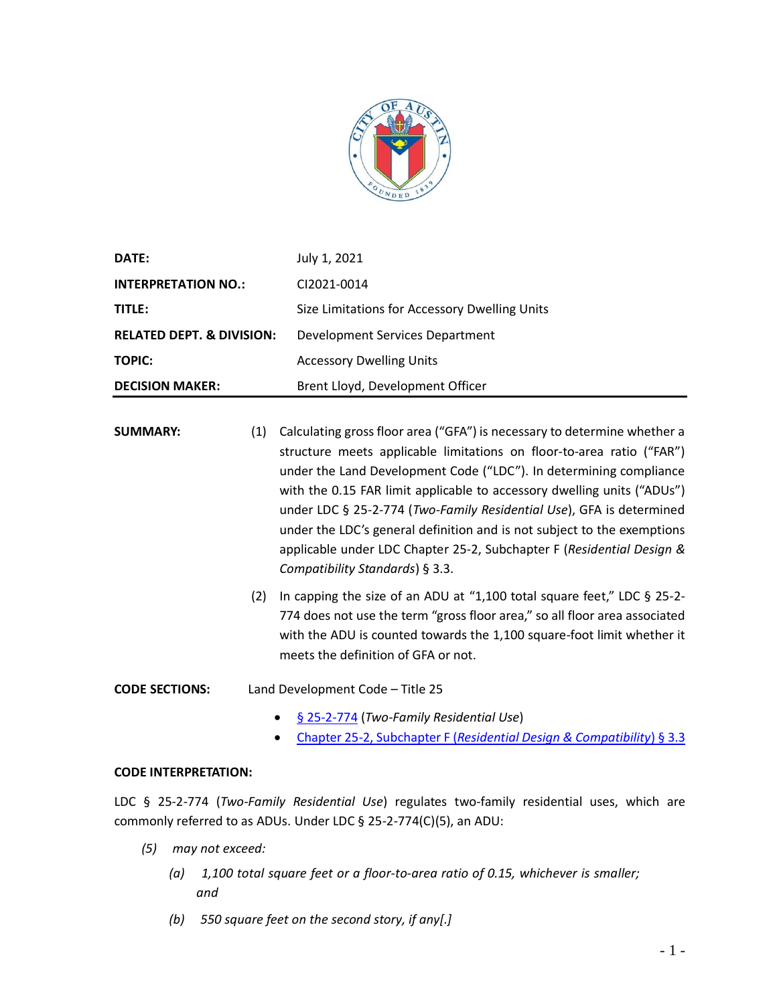

| <b>DATE:</b>                         | July 1, 2021                                  |
|--------------------------------------|-----------------------------------------------|
| <b>INTERPRETATION NO.:</b>           | CI2021-0014                                   |
| TITLE:                               | Size Limitations for Accessory Dwelling Units |
| <b>RELATED DEPT. &amp; DIVISION:</b> | Development Services Department               |
| TOPIC:                               | <b>Accessory Dwelling Units</b>               |
| <b>DECISION MAKER:</b>               | Brent Lloyd, Development Officer              |

- **SUMMARY:** (1) Calculating gross floor area ("GFA") is necessary to determine whether a structure meets applicable limitations on floor-to-area ratio ("FAR") under the Land Development Code ("LDC"). In determining compliance with the 0.15 FAR limit applicable to accessory dwelling units ("ADUs") under LDC § 25-2-774 (*Two-Family Residential Use*), GFA is determined under the LDC's general definition and is not subject to the exemptions applicable under LDC Chapter 25-2, Subchapter F (*Residential Design & Compatibility Standards*) § 3.3.
	- (2) In capping the size of an ADU at "1,100 total square feet," LDC § 25-2- 774 does not use the term "gross floor area," so all floor area associated with the ADU is counted towards the 1,100 square-foot limit whether it meets the definition of GFA or not.

**CODE SECTIONS:** Land Development Code – Title 25

- [§ 25-2-774](https://library.municode.com/tx/austin/codes/code_of_ordinances?nodeId=TIT25LADE_CH25-2ZO_SUBCHAPTER_CUSDERE_ART4ADRECEUS_SPARESPUS_S25-2-774TMIREUS) (*Two-Family Residential Use*)
- Chapter 25-2, Subchapter F (*[Residential Design & Compatibility](https://library.municode.com/tx/austin/codes/code_of_ordinances?nodeId=TIT25LADE_CH25-2ZO_SUBCHAPTER_FREDECOST_ART3DEME_S3.3GRFLAR)*) § 3.3

## **CODE INTERPRETATION:**

LDC § 25-2-774 (*Two-Family Residential Use*) regulates two-family residential uses, which are commonly referred to as ADUs. Under LDC § 25-2-774(C)(5), an ADU:

- *(5) may not exceed:* 
	- *(a) 1,100 total square feet or a floor-to-area ratio of 0.15, whichever is smaller; and*
	- *(b) 550 square feet on the second story, if any[.]*